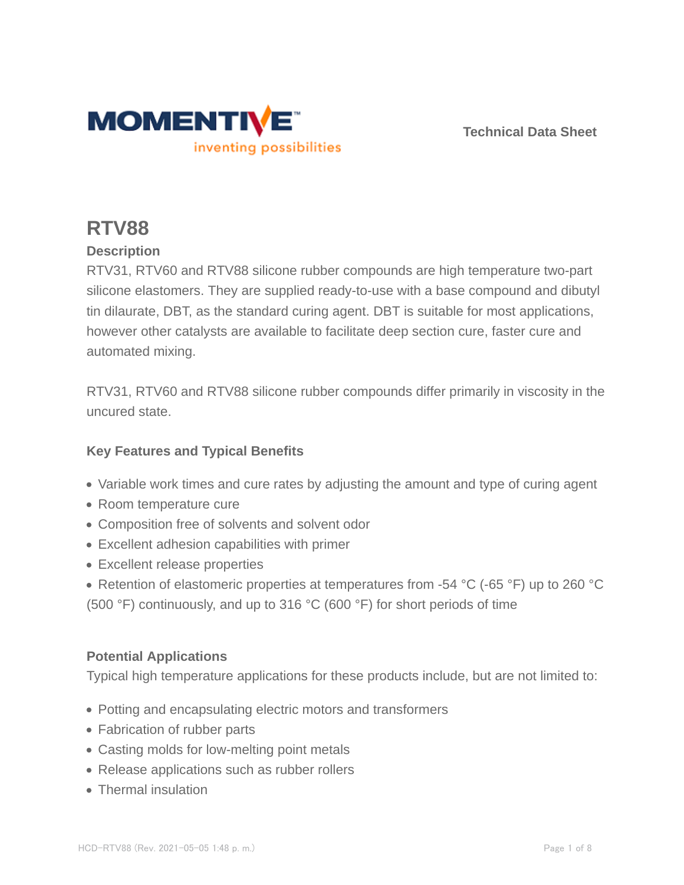

**Technical Data Sheet**

# **RTV88**

# **Description**

RTV31, RTV60 and RTV88 silicone rubber compounds are high temperature two-part silicone elastomers. They are supplied ready-to-use with a base compound and dibutyl tin dilaurate, DBT, as the standard curing agent. DBT is suitable for most applications, however other catalysts are available to facilitate deep section cure, faster cure and automated mixing.

RTV31, RTV60 and RTV88 silicone rubber compounds differ primarily in viscosity in the uncured state.

# **Key Features and Typical Benefits**

- Variable work times and cure rates by adjusting the amount and type of curing agent
- Room temperature cure
- Composition free of solvents and solvent odor
- Excellent adhesion capabilities with primer
- Excellent release properties
- Retention of elastomeric properties at temperatures from -54 °C (-65 °F) up to 260 °C (500 °F) continuously, and up to 316 °C (600 °F) for short periods of time

### **Potential Applications**

Typical high temperature applications for these products include, but are not limited to:

- Potting and encapsulating electric motors and transformers
- Fabrication of rubber parts
- Casting molds for low-melting point metals
- Release applications such as rubber rollers
- Thermal insulation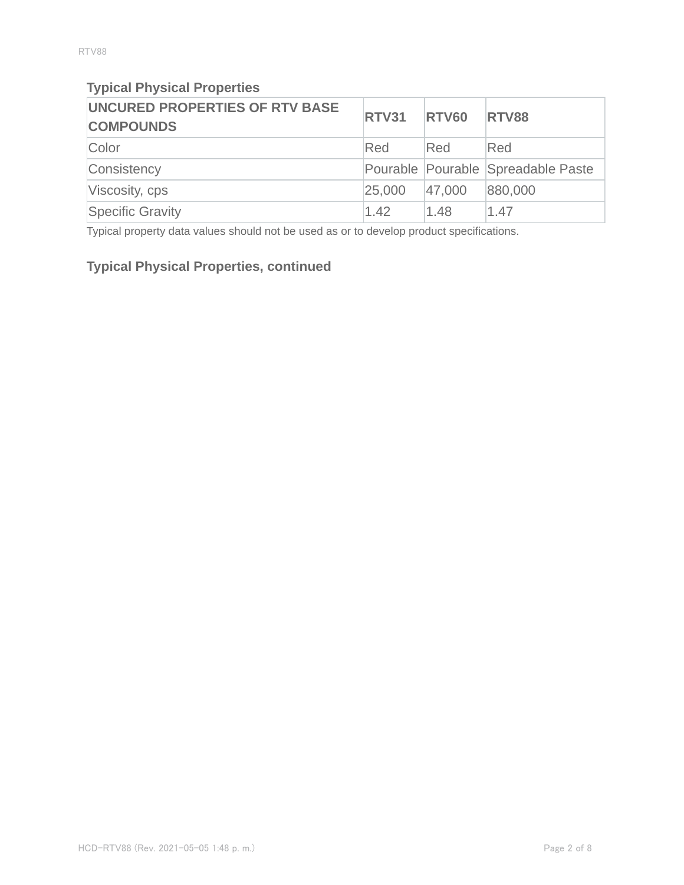# **Typical Physical Properties**

| <b>UNCURED PROPERTIES OF RTV BASE</b><br><b>COMPOUNDS</b> | <b>RTV31</b> | <b>RTV60</b> | <b>RTV88</b>                       |
|-----------------------------------------------------------|--------------|--------------|------------------------------------|
| Color                                                     | Red          | Red          | Red                                |
| Consistency                                               |              |              | Pourable Pourable Spreadable Paste |
| Viscosity, cps                                            | 25,000       | 47,000       | 880,000                            |
| Specific Gravity                                          | 1.42         | 1.48         | 1.47                               |

Typical property data values should not be used as or to develop product specifications.

# **Typical Physical Properties, continued**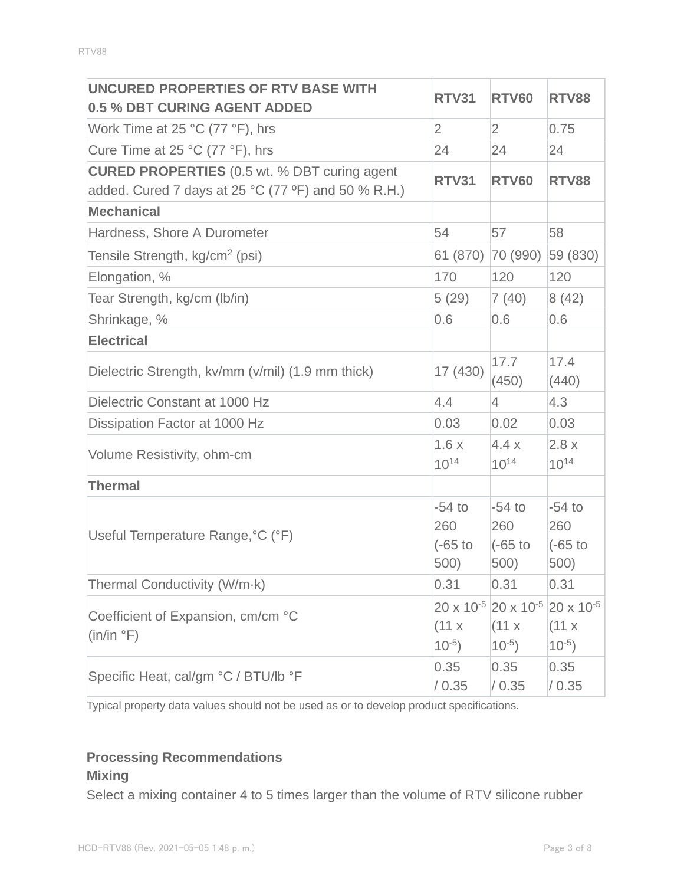| UNCURED PROPERTIES OF RTV BASE WITH<br>0.5 % DBT CURING AGENT ADDED                                        | <b>RTV31</b>                         | <b>RTV60</b>                                                                           | <b>RTV88</b>                         |
|------------------------------------------------------------------------------------------------------------|--------------------------------------|----------------------------------------------------------------------------------------|--------------------------------------|
| Work Time at 25 $^{\circ}$ C (77 $^{\circ}$ F), hrs                                                        | $\overline{2}$                       | $\overline{2}$                                                                         | 0.75                                 |
| Cure Time at 25 °C (77 °F), hrs                                                                            | 24                                   | 24                                                                                     | 24                                   |
| <b>CURED PROPERTIES</b> (0.5 wt. % DBT curing agent<br>added. Cured 7 days at 25 °C (77 °F) and 50 % R.H.) | <b>RTV31</b>                         | <b>RTV60</b>                                                                           | <b>RTV88</b>                         |
| <b>Mechanical</b>                                                                                          |                                      |                                                                                        |                                      |
| Hardness, Shore A Durometer                                                                                | 54                                   | 57                                                                                     | 58                                   |
| Tensile Strength, kg/cm <sup>2</sup> (psi)                                                                 | 61 (870)                             | 70 (990)                                                                               | 59 (830)                             |
| Elongation, %                                                                                              | 170                                  | 120                                                                                    | 120                                  |
| Tear Strength, kg/cm (lb/in)                                                                               | 5(29)                                | 7(40)                                                                                  | 8(42)                                |
| Shrinkage, %                                                                                               | 0.6                                  | 0.6                                                                                    | 0.6                                  |
| <b>Electrical</b>                                                                                          |                                      |                                                                                        |                                      |
| Dielectric Strength, kv/mm (v/mil) (1.9 mm thick)                                                          | 17 (430)                             | 17.7<br>(450)                                                                          | 17.4<br>(440)                        |
| Dielectric Constant at 1000 Hz                                                                             | 4.4                                  | $\overline{4}$                                                                         | 4.3                                  |
| Dissipation Factor at 1000 Hz                                                                              | 0.03                                 | 0.02                                                                                   | 0.03                                 |
| Volume Resistivity, ohm-cm                                                                                 | 1.6x<br>$10^{14}$                    | 4.4x<br>$10^{14}$                                                                      | 2.8x<br>$10^{14}$                    |
| <b>Thermal</b>                                                                                             |                                      |                                                                                        |                                      |
| Useful Temperature Range, °C (°F)                                                                          | $-54$ to<br>260<br>$(-65$ to<br>500) | $-54$ to<br>260<br>$(-65)$ to<br>500)                                                  | $-54$ to<br>260<br>$(-65$ to<br>500) |
| Thermal Conductivity (W/m·k)                                                                               | 0.31                                 | 0.31                                                                                   | 0.31                                 |
| Coefficient of Expansion, cm/cm °C<br>(in/in °F)                                                           | (11 x)<br>$10^{-5}$ )                | $20 \times 10^{-5}$ 20 x 10 <sup>-5</sup> 20 x 10 <sup>-5</sup><br>(11 x)<br>$10^{-5}$ | (11 x)<br>$10^{-5}$                  |
| Specific Heat, cal/gm °C / BTU/lb °F                                                                       | 0.35<br>/ 0.35                       | 0.35<br>/ 0.35                                                                         | 0.35<br>/ 0.35                       |

Typical property data values should not be used as or to develop product specifications.

# **Processing Recommendations**

# **Mixing**

Select a mixing container 4 to 5 times larger than the volume of RTV silicone rubber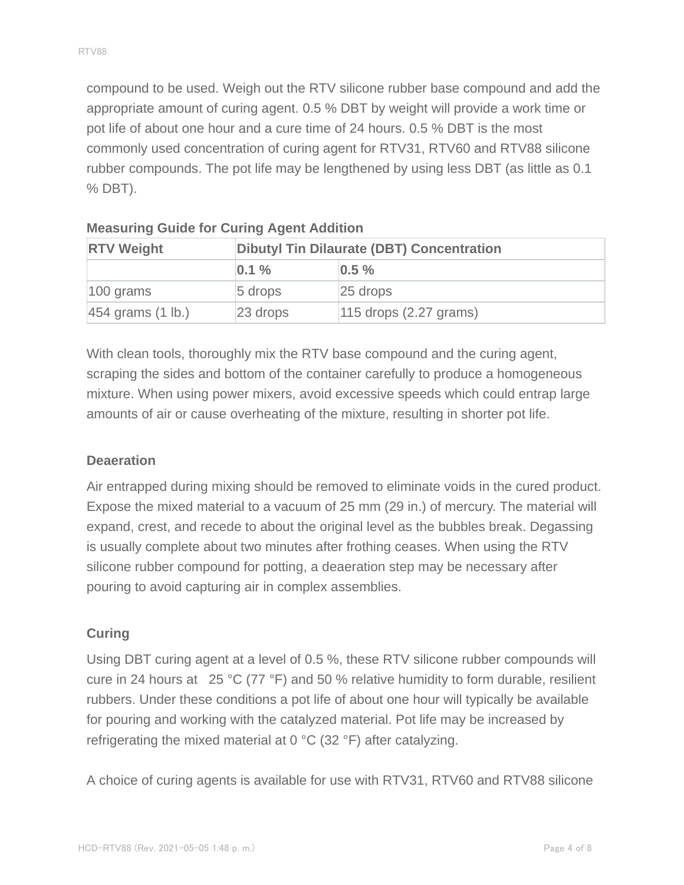compound to be used. Weigh out the RTV silicone rubber base compound and add the appropriate amount of curing agent. 0.5 % DBT by weight will provide a work time or pot life of about one hour and a cure time of 24 hours. 0.5 % DBT is the most commonly used concentration of curing agent for RTV31, RTV60 and RTV88 silicone rubber compounds. The pot life may be lengthened by using less DBT (as little as 0.1 % DBT).

| <b>RTV Weight</b>              |             | <b>Dibutyl Tin Dilaurate (DBT) Concentration</b> |  |  |
|--------------------------------|-------------|--------------------------------------------------|--|--|
|                                | $ 0.1\%$    | $0.5 \%$                                         |  |  |
| $ 100 \text{ grams} $          | $5$ drops   | $ 25$ drops                                      |  |  |
| $ 454$ grams $(1 \text{ lb.})$ | $ 23$ drops | $115$ drops $(2.27$ grams)                       |  |  |

| <b>Measuring Guide for Curing Agent Addition</b> |  |  |  |
|--------------------------------------------------|--|--|--|
|                                                  |  |  |  |

With clean tools, thoroughly mix the RTV base compound and the curing agent, scraping the sides and bottom of the container carefully to produce a homogeneous mixture. When using power mixers, avoid excessive speeds which could entrap large amounts of air or cause overheating of the mixture, resulting in shorter pot life.

### **Deaeration**

Air entrapped during mixing should be removed to eliminate voids in the cured product. Expose the mixed material to a vacuum of 25 mm (29 in.) of mercury. The material will expand, crest, and recede to about the original level as the bubbles break. Degassing is usually complete about two minutes after frothing ceases. When using the RTV silicone rubber compound for potting, a deaeration step may be necessary after pouring to avoid capturing air in complex assemblies.

# **Curing**

Using DBT curing agent at a level of 0.5 %, these RTV silicone rubber compounds will cure in 24 hours at 25 °C (77 °F) and 50 % relative humidity to form durable, resilient rubbers. Under these conditions a pot life of about one hour will typically be available for pouring and working with the catalyzed material. Pot life may be increased by refrigerating the mixed material at 0 °C (32 °F) after catalyzing.

A choice of curing agents is available for use with RTV31, RTV60 and RTV88 silicone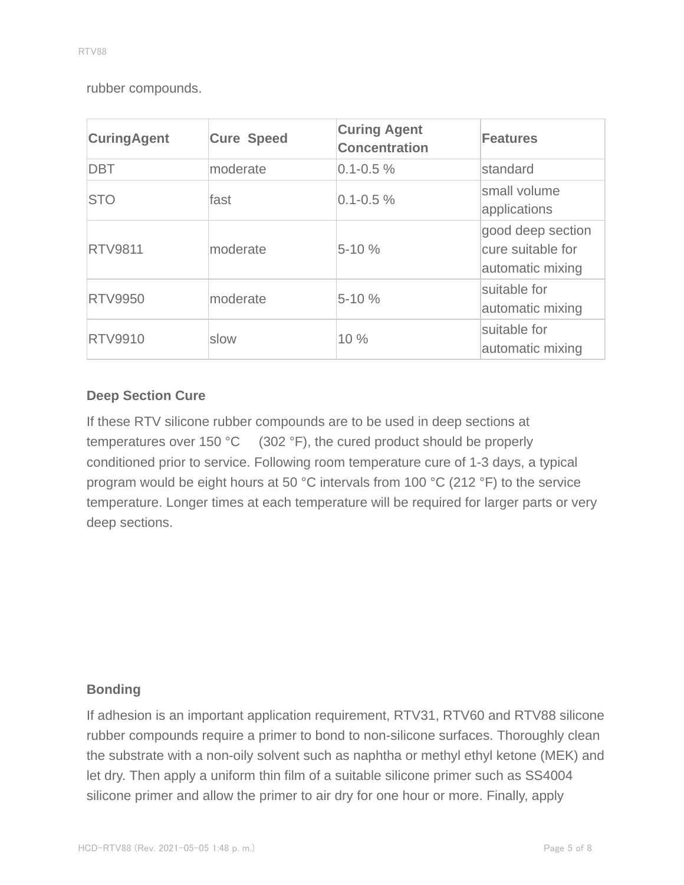rubber compounds.

| <b>CuringAgent</b> | <b>Cure Speed</b> | <b>Curing Agent</b><br><b>Concentration</b> | <b>Features</b>                                            |
|--------------------|-------------------|---------------------------------------------|------------------------------------------------------------|
| <b>DBT</b>         | moderate          | $0.1 - 0.5 \%$                              | standard                                                   |
| <b>STO</b>         | fast              | $0.1 - 0.5 \%$                              | small volume<br>applications                               |
| <b>RTV9811</b>     | moderate          | $5 - 10%$                                   | good deep section<br>cure suitable for<br>automatic mixing |
| <b>RTV9950</b>     | moderate          | $5 - 10%$                                   | suitable for<br>automatic mixing                           |
| <b>RTV9910</b>     | slow              | 10 %                                        | suitable for<br>automatic mixing                           |

# **Deep Section Cure**

If these RTV silicone rubber compounds are to be used in deep sections at temperatures over 150 °C (302 °F), the cured product should be properly conditioned prior to service. Following room temperature cure of 1-3 days, a typical program would be eight hours at 50 °C intervals from 100 °C (212 °F) to the service temperature. Longer times at each temperature will be required for larger parts or very deep sections.

### **Bonding**

If adhesion is an important application requirement, RTV31, RTV60 and RTV88 silicone rubber compounds require a primer to bond to non-silicone surfaces. Thoroughly clean the substrate with a non-oily solvent such as naphtha or methyl ethyl ketone (MEK) and let dry. Then apply a uniform thin film of a suitable silicone primer such as SS4004 silicone primer and allow the primer to air dry for one hour or more. Finally, apply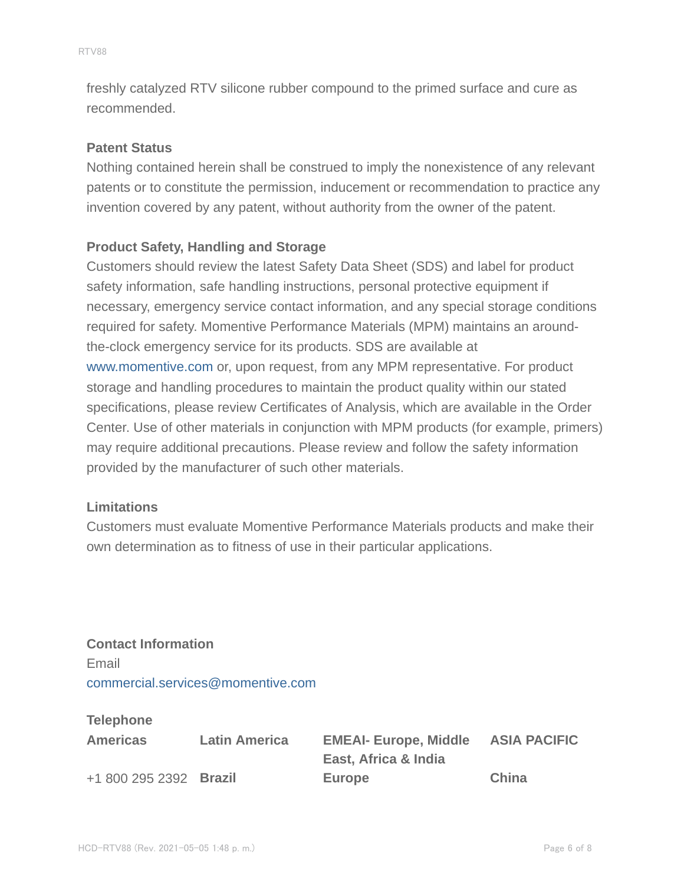freshly catalyzed RTV silicone rubber compound to the primed surface and cure as recommended.

#### **Patent Status**

Nothing contained herein shall be construed to imply the nonexistence of any relevant patents or to constitute the permission, inducement or recommendation to practice any invention covered by any patent, without authority from the owner of the patent.

### **Product Safety, Handling and Storage**

Customers should review the latest Safety Data Sheet (SDS) and label for product safety information, safe handling instructions, personal protective equipment if necessary, emergency service contact information, and any special storage conditions required for safety. Momentive Performance Materials (MPM) maintains an aroundthe-clock emergency service for its products. SDS are available at www.momentive.com or, upon request, from any MPM representative. For product storage and handling procedures to maintain the product quality within our stated specifications, please review Certificates of Analysis, which are available in the Order Center. Use of other materials in conjunction with MPM products (for example, primers) may require additional precautions. Please review and follow the safety information provided by the manufacturer of such other materials.

#### **Limitations**

Customers must evaluate Momentive Performance Materials products and make their own determination as to fitness of use in their particular applications.

**Contact Information** Email commercial.services@momentive.com

#### **Telephone**

| <b>Americas</b>        | <b>Latin America</b> | <b>EMEAI- Europe, Middle</b> | <b>ASIA PACIFIC</b> |
|------------------------|----------------------|------------------------------|---------------------|
|                        |                      | East, Africa & India         |                     |
| +1 800 295 2392 Brazil |                      | Europe                       | China               |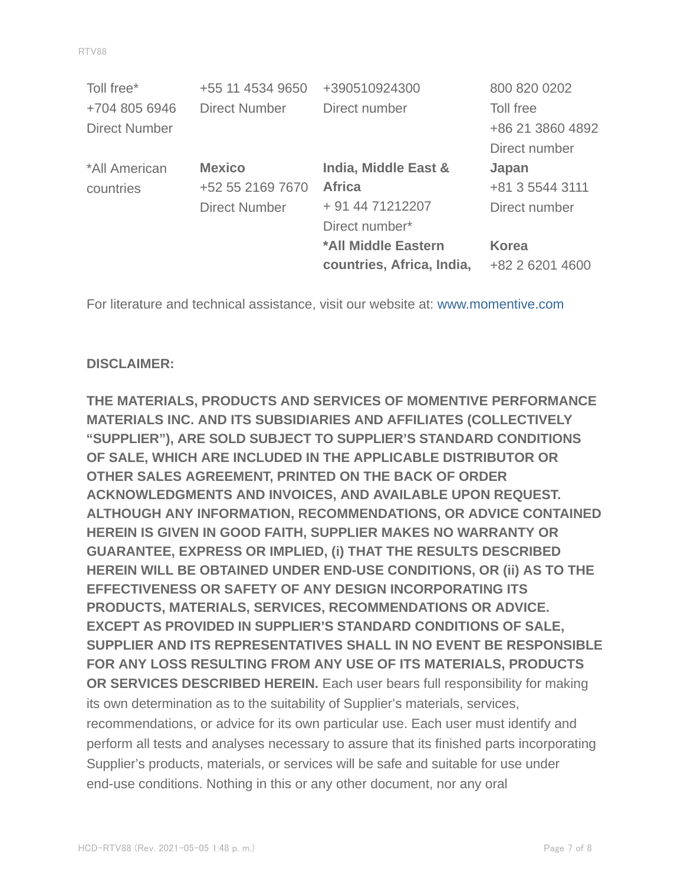| Toll free*           | +55 11 4534 9650     | +390510924300             | 800 820 0202     |
|----------------------|----------------------|---------------------------|------------------|
| +704 805 6946        | <b>Direct Number</b> | Direct number             | Toll free        |
| <b>Direct Number</b> |                      |                           | +86 21 3860 4892 |
|                      |                      |                           | Direct number    |
| *All American        | <b>Mexico</b>        | India, Middle East &      | Japan            |
| countries            | +52 55 2169 7670     | <b>Africa</b>             | +81 3 5544 3111  |
|                      | <b>Direct Number</b> | + 91 44 71212207          | Direct number    |
|                      |                      | Direct number*            |                  |
|                      |                      | *All Middle Eastern       | <b>Korea</b>     |
|                      |                      | countries, Africa, India, | +82 2 6201 4600  |

For literature and technical assistance, visit our website at: www.momentive.com

### **DISCLAIMER:**

**THE MATERIALS, PRODUCTS AND SERVICES OF MOMENTIVE PERFORMANCE MATERIALS INC. AND ITS SUBSIDIARIES AND AFFILIATES (COLLECTIVELY "SUPPLIER"), ARE SOLD SUBJECT TO SUPPLIER'S STANDARD CONDITIONS OF SALE, WHICH ARE INCLUDED IN THE APPLICABLE DISTRIBUTOR OR OTHER SALES AGREEMENT, PRINTED ON THE BACK OF ORDER ACKNOWLEDGMENTS AND INVOICES, AND AVAILABLE UPON REQUEST. ALTHOUGH ANY INFORMATION, RECOMMENDATIONS, OR ADVICE CONTAINED HEREIN IS GIVEN IN GOOD FAITH, SUPPLIER MAKES NO WARRANTY OR GUARANTEE, EXPRESS OR IMPLIED, (i) THAT THE RESULTS DESCRIBED HEREIN WILL BE OBTAINED UNDER END-USE CONDITIONS, OR (ii) AS TO THE EFFECTIVENESS OR SAFETY OF ANY DESIGN INCORPORATING ITS PRODUCTS, MATERIALS, SERVICES, RECOMMENDATIONS OR ADVICE. EXCEPT AS PROVIDED IN SUPPLIER'S STANDARD CONDITIONS OF SALE, SUPPLIER AND ITS REPRESENTATIVES SHALL IN NO EVENT BE RESPONSIBLE FOR ANY LOSS RESULTING FROM ANY USE OF ITS MATERIALS, PRODUCTS OR SERVICES DESCRIBED HEREIN.** Each user bears full responsibility for making its own determination as to the suitability of Supplier's materials, services, recommendations, or advice for its own particular use. Each user must identify and perform all tests and analyses necessary to assure that its finished parts incorporating Supplier's products, materials, or services will be safe and suitable for use under end-use conditions. Nothing in this or any other document, nor any oral